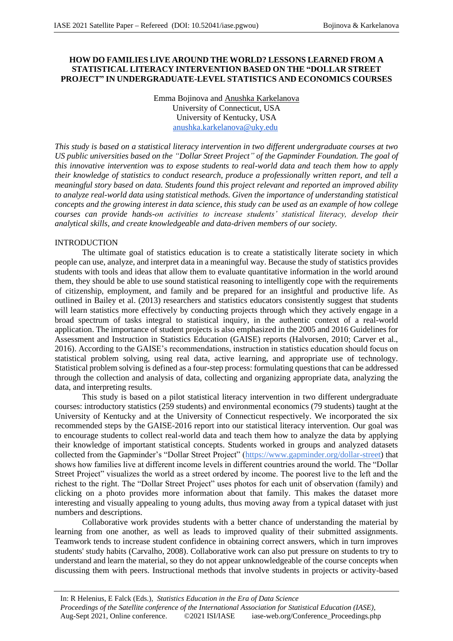# **HOW DO FAMILIES LIVE AROUND THE WORLD? LESSONS LEARNED FROM A STATISTICAL LITERACY INTERVENTION BASED ON THE "DOLLAR STREET PROJECT" IN UNDERGRADUATE-LEVEL STATISTICS AND ECONOMICS COURSES**

Emma Bojinova and Anushka Karkelanova University of Connecticut, USA University of Kentucky, USA anushka.karkelanova@uky.edu

*This study is based on a statistical literacy intervention in two different undergraduate courses at two US public universities based on the "Dollar Street Project" of the Gapminder Foundation. The goal of this innovative intervention was to expose students to real-world data and teach them how to apply their knowledge of statistics to conduct research, produce a professionally written report, and tell a meaningful story based on data. Students found this project relevant and reported an improved ability to analyze real-world data using statistical methods. Given the importance of understanding statistical concepts and the growing interest in data science, this study can be used as an example of how college courses can provide hands-on activities to increase students' statistical literacy, develop their analytical skills, and create knowledgeable and data-driven members of our society.*

## INTRODUCTION

The ultimate goal of statistics education is to create a statistically literate society in which people can use, analyze, and interpret data in a meaningful way. Because the study of statistics provides students with tools and ideas that allow them to evaluate quantitative information in the world around them, they should be able to use sound statistical reasoning to intelligently cope with the requirements of citizenship, employment, and family and be prepared for an insightful and productive life. As outlined in Bailey et al. (2013) researchers and statistics educators consistently suggest that students will learn statistics more effectively by conducting projects through which they actively engage in a broad spectrum of tasks integral to statistical inquiry, in the authentic context of a real-world application. The importance of student projects is also emphasized in the 2005 and 2016 Guidelines for Assessment and Instruction in Statistics Education (GAISE) reports (Halvorsen, 2010; Carver et al., 2016). According to the GAISE's recommendations, instruction in statistics education should focus on statistical problem solving, using real data, active learning, and appropriate use of technology. Statistical problem solving is defined as a four-step process: formulating questions that can be addressed through the collection and analysis of data, collecting and organizing appropriate data, analyzing the data, and interpreting results.

This study is based on a pilot statistical literacy intervention in two different undergraduate courses: introductory statistics (259 students) and environmental economics (79 students) taught at the University of Kentucky and at the University of Connecticut respectively. We incorporated the six recommended steps by the GAISE-2016 report into our statistical literacy intervention. Our goal was to encourage students to collect real-world data and teach them how to analyze the data by applying their knowledge of important statistical concepts. Students worked in groups and analyzed datasets collected from the Gapminder's "Dollar Street Project" (https://www.gapminder.org/dollar-street) that shows how families live at different income levels in different countries around the world. The "Dollar Street Project" visualizes the world as a street ordered by income. The poorest live to the left and the richest to the right. The "Dollar Street Project" uses photos for each unit of observation (family) and clicking on a photo provides more information about that family. This makes the dataset more interesting and visually appealing to young adults, thus moving away from a typical dataset with just numbers and descriptions.

Collaborative work provides students with a better chance of understanding the material by learning from one another, as well as leads to improved quality of their submitted assignments. Teamwork tends to increase student confidence in obtaining correct answers, which in turn improves students' study habits (Carvalho, 2008). Collaborative work can also put pressure on students to try to understand and learn the material, so they do not appear unknowledgeable of the course concepts when discussing them with peers. Instructional methods that involve students in projects or activity-based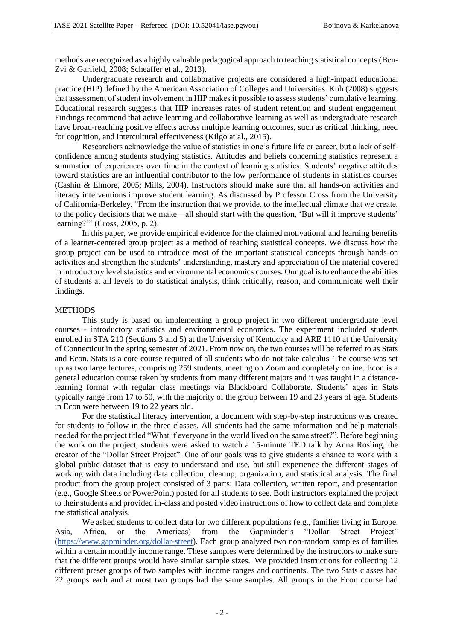methods are recognized as a highly valuable pedagogical approach to teaching statistical concepts (Ben‐ Zvi & Garfield, 2008; Scheaffer et al., 2013).

Undergraduate research and collaborative projects are considered a high-impact educational practice (HIP) defined by the American Association of Colleges and Universities. Kuh (2008) suggests that assessment of student involvement in HIP makes it possible to assess students' cumulative learning. Educational research suggests that HIP increases rates of student retention and student engagement. Findings recommend that active learning and collaborative learning as well as undergraduate research have broad-reaching positive effects across multiple learning outcomes, such as critical thinking, need for cognition, and intercultural effectiveness (Kilgo at al., 2015).

Researchers acknowledge the value of statistics in one's future life or career, but a lack of selfconfidence among students studying statistics. Attitudes and beliefs concerning statistics represent a summation of experiences over time in the context of learning statistics. Students' negative attitudes toward statistics are an influential contributor to the low performance of students in statistics courses (Cashin & Elmore, 2005; Mills, 2004). Instructors should make sure that all hands-on activities and literacy interventions improve student learning. As discussed by Professor Cross from the University of California-Berkeley, "From the instruction that we provide, to the intellectual climate that we create, to the policy decisions that we make—all should start with the question, 'But will it improve students' learning?'" (Cross, 2005, p. 2).

In this paper, we provide empirical evidence for the claimed motivational and learning benefits of a learner-centered group project as a method of teaching statistical concepts. We discuss how the group project can be used to introduce most of the important statistical concepts through hands-on activities and strengthen the students' understanding, mastery and appreciation of the material covered in introductory level statistics and environmental economics courses. Our goal is to enhance the abilities of students at all levels to do statistical analysis, think critically, reason, and communicate well their findings.

### **METHODS**

This study is based on implementing a group project in two different undergraduate level courses - introductory statistics and environmental economics. The experiment included students enrolled in STA 210 (Sections 3 and 5) at the University of Kentucky and ARE 1110 at the University of Connecticut in the spring semester of 2021. From now on, the two courses will be referred to as Stats and Econ. Stats is a core course required of all students who do not take calculus. The course was set up as two large lectures, comprising 259 students, meeting on Zoom and completely online. Econ is a general education course taken by students from many different majors and it was taught in a distancelearning format with regular class meetings via Blackboard Collaborate. Students' ages in Stats typically range from 17 to 50, with the majority of the group between 19 and 23 years of age. Students in Econ were between 19 to 22 years old.

For the statistical literacy intervention, a document with step-by-step instructions was created for students to follow in the three classes. All students had the same information and help materials needed for the project titled "What if everyone in the world lived on the same street?". Before beginning the work on the project, students were asked to watch a 15-minute TED talk by Anna Rosling, the creator of the "Dollar Street Project". One of our goals was to give students a chance to work with a global public dataset that is easy to understand and use, but still experience the different stages of working with data including data collection, cleanup, organization, and statistical analysis. The final product from the group project consisted of 3 parts: Data collection, written report, and presentation (e.g., Google Sheets or PowerPoint) posted for all students to see. Both instructors explained the project to their students and provided in-class and posted video instructions of how to collect data and complete the statistical analysis.

We asked students to collect data for two different populations (e.g., families living in Europe, Asia, Africa, or the Americas) from the Gapminder's "Dollar Street Project" (https://www.gapminder.org/dollar-street). Each group analyzed two non-random samples of families within a certain monthly income range. These samples were determined by the instructors to make sure that the different groups would have similar sample sizes. We provided instructions for collecting 12 different preset groups of two samples with income ranges and continents. The two Stats classes had 22 groups each and at most two groups had the same samples. All groups in the Econ course had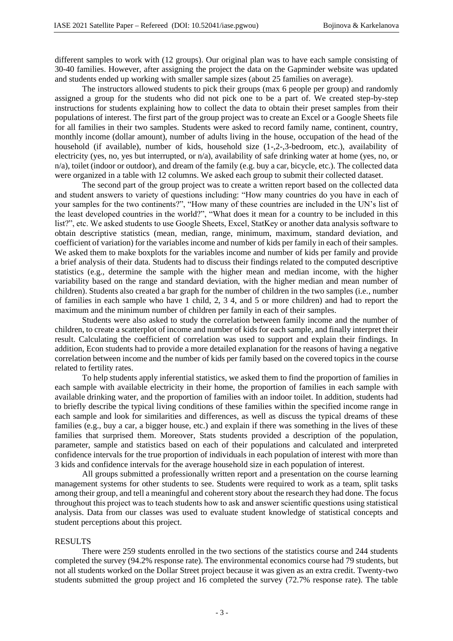different samples to work with (12 groups). Our original plan was to have each sample consisting of 30-40 families. However, after assigning the project the data on the Gapminder website was updated and students ended up working with smaller sample sizes (about 25 families on average).

The instructors allowed students to pick their groups (max 6 people per group) and randomly assigned a group for the students who did not pick one to be a part of. We created step-by-step instructions for students explaining how to collect the data to obtain their preset samples from their populations of interest. The first part of the group project was to create an Excel or a Google Sheets file for all families in their two samples. Students were asked to record family name, continent, country, monthly income (dollar amount), number of adults living in the house, occupation of the head of the household (if available), number of kids, household size (1-,2-,3-bedroom, etc.), availability of electricity (yes, no, yes but interrupted, or n/a), availability of safe drinking water at home (yes, no, or n/a), toilet (indoor or outdoor), and dream of the family (e.g. buy a car, bicycle, etc.). The collected data were organized in a table with 12 columns. We asked each group to submit their collected dataset.

The second part of the group project was to create a written report based on the collected data and student answers to variety of questions including: "How many countries do you have in each of your samples for the two continents?", "How many of these countries are included in the UN's list of the least developed countries in the world?", "What does it mean for a country to be included in this list?", etc. We asked students to use Google Sheets, Excel, StatKey or another data analysis software to obtain descriptive statistics (mean, median, range, minimum, maximum, standard deviation, and coefficient of variation) for the variables income and number of kids per family in each of their samples. We asked them to make boxplots for the variables income and number of kids per family and provide a brief analysis of their data. Students had to discuss their findings related to the computed descriptive statistics (e.g., determine the sample with the higher mean and median income, with the higher variability based on the range and standard deviation, with the higher median and mean number of children). Students also created a bar graph for the number of children in the two samples (i.e., number of families in each sample who have 1 child, 2, 3 4, and 5 or more children) and had to report the maximum and the minimum number of children per family in each of their samples.

Students were also asked to study the correlation between family income and the number of children, to create a scatterplot of income and number of kids for each sample, and finally interpret their result. Calculating the coefficient of correlation was used to support and explain their findings. In addition, Econ students had to provide a more detailed explanation for the reasons of having a negative correlation between income and the number of kids per family based on the covered topics in the course related to fertility rates.

 To help students apply inferential statistics, we asked them to find the proportion of families in each sample with available electricity in their home, the proportion of families in each sample with available drinking water, and the proportion of families with an indoor toilet. In addition, students had to briefly describe the typical living conditions of these families within the specified income range in each sample and look for similarities and differences, as well as discuss the typical dreams of these families (e.g., buy a car, a bigger house, etc.) and explain if there was something in the lives of these families that surprised them. Moreover, Stats students provided a description of the population, parameter, sample and statistics based on each of their populations and calculated and interpreted confidence intervals for the true proportion of individuals in each population of interest with more than 3 kids and confidence intervals for the average household size in each population of interest.

All groups submitted a professionally written report and a presentation on the course learning management systems for other students to see. Students were required to work as a team, split tasks among their group, and tell a meaningful and coherent story about the research they had done. The focus throughout this project was to teach students how to ask and answer scientific questions using statistical analysis. Data from our classes was used to evaluate student knowledge of statistical concepts and student perceptions about this project.

### RESULTS

There were 259 students enrolled in the two sections of the statistics course and 244 students completed the survey (94.2% response rate). The environmental economics course had 79 students, but not all students worked on the Dollar Street project because it was given as an extra credit. Twenty-two students submitted the group project and 16 completed the survey (72.7% response rate). The table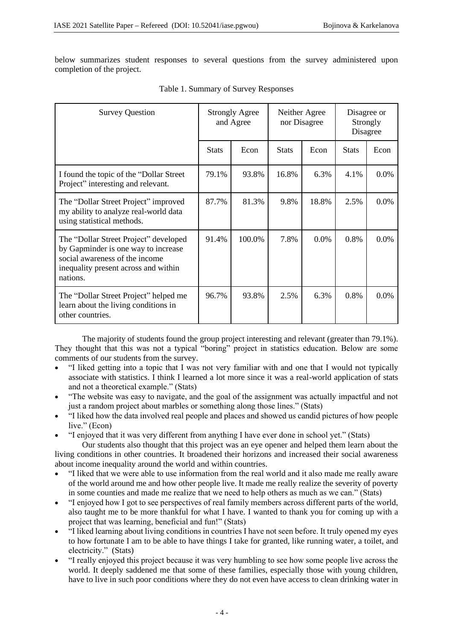below summarizes student responses to several questions from the survey administered upon completion of the project.

| <b>Survey Question</b>                                                                                                                                             | <b>Strongly Agree</b><br>and Agree |        | Neither Agree<br>nor Disagree |       | Disagree or<br>Strongly<br>Disagree |         |
|--------------------------------------------------------------------------------------------------------------------------------------------------------------------|------------------------------------|--------|-------------------------------|-------|-------------------------------------|---------|
|                                                                                                                                                                    | <b>Stats</b>                       | Econ   | <b>Stats</b>                  | Econ  | <b>Stats</b>                        | Econ    |
| I found the topic of the "Dollar Street"<br>Project" interesting and relevant.                                                                                     | 79.1%                              | 93.8%  | 16.8%                         | 6.3%  | 4.1%                                | 0.0%    |
| The "Dollar Street Project" improved<br>my ability to analyze real-world data<br>using statistical methods.                                                        | 87.7%                              | 81.3%  | 9.8%                          | 18.8% | 2.5%                                | 0.0%    |
| The "Dollar Street Project" developed<br>by Gapminder is one way to increase<br>social awareness of the income<br>inequality present across and within<br>nations. | 91.4%                              | 100.0% | 7.8%                          | 0.0%  | 0.8%                                | 0.0%    |
| The "Dollar Street Project" helped me<br>learn about the living conditions in<br>other countries.                                                                  | 96.7%                              | 93.8%  | 2.5%                          | 6.3%  | 0.8%                                | $0.0\%$ |

Table 1. Summary of Survey Responses

The majority of students found the group project interesting and relevant (greater than 79.1%). They thought that this was not a typical "boring" project in statistics education. Below are some comments of our students from the survey.

- "I liked getting into a topic that I was not very familiar with and one that I would not typically associate with statistics. I think I learned a lot more since it was a real-world application of stats and not a theoretical example." (Stats)
- "The website was easy to navigate, and the goal of the assignment was actually impactful and not just a random project about marbles or something along those lines." (Stats)
- "I liked how the data involved real people and places and showed us candid pictures of how people live." (Econ)
- "I enjoyed that it was very different from anything I have ever done in school yet." (Stats)

Our students also thought that this project was an eye opener and helped them learn about the living conditions in other countries. It broadened their horizons and increased their social awareness about income inequality around the world and within countries.

- "I liked that we were able to use information from the real world and it also made me really aware of the world around me and how other people live. It made me really realize the severity of poverty in some counties and made me realize that we need to help others as much as we can." (Stats)
- "I enjoyed how I got to see perspectives of real family members across different parts of the world, also taught me to be more thankful for what I have. I wanted to thank you for coming up with a project that was learning, beneficial and fun!" (Stats)
- "I liked learning about living conditions in countries I have not seen before. It truly opened my eyes to how fortunate I am to be able to have things I take for granted, like running water, a toilet, and electricity." (Stats)
- "I really enjoyed this project because it was very humbling to see how some people live across the world. It deeply saddened me that some of these families, especially those with young children, have to live in such poor conditions where they do not even have access to clean drinking water in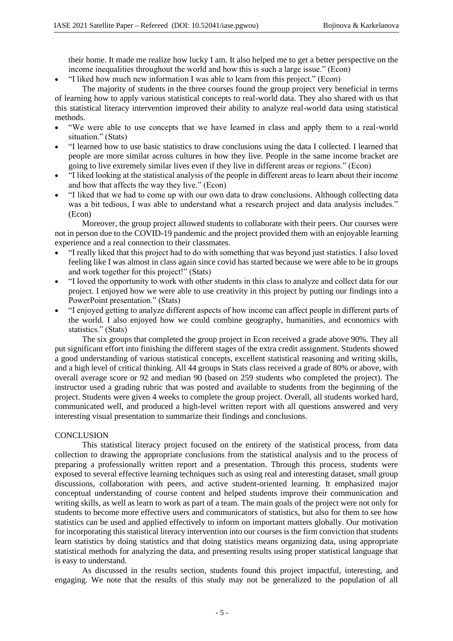their home. It made me realize how lucky I am. It also helped me to get a better perspective on the income inequalities throughout the world and how this is such a large issue." (Econ)

• "I liked how much new information I was able to learn from this project." (Econ)

The majority of students in the three courses found the group project very beneficial in terms of learning how to apply various statistical concepts to real-world data. They also shared with us that this statistical literacy intervention improved their ability to analyze real-world data using statistical methods.

- "We were able to use concepts that we have learned in class and apply them to a real-world situation." (Stats)
- "I learned how to use basic statistics to draw conclusions using the data I collected. I learned that people are more similar across cultures in how they live. People in the same income bracket are going to live extremely similar lives even if they live in different areas or regions." (Econ)
- "I liked looking at the statistical analysis of the people in different areas to learn about their income and how that affects the way they live." (Econ)
- "I liked that we had to come up with our own data to draw conclusions. Although collecting data was a bit tedious, I was able to understand what a research project and data analysis includes." (Econ)

Moreover, the group project allowed students to collaborate with their peers. Our courses were not in person due to the COVID-19 pandemic and the project provided them with an enjoyable learning experience and a real connection to their classmates.

- "I really liked that this project had to do with something that was beyond just statistics. I also loved feeling like I was almost in class again since covid has started because we were able to be in groups and work together for this project!" (Stats)
- "I loved the opportunity to work with other students in this class to analyze and collect data for our project. I enjoyed how we were able to use creativity in this project by putting our findings into a PowerPoint presentation." (Stats)
- "I enjoyed getting to analyze different aspects of how income can affect people in different parts of the world. I also enjoyed how we could combine geography, humanities, and economics with statistics." (Stats)

The six groups that completed the group project in Econ received a grade above 90%. They all put significant effort into finishing the different stages of the extra credit assignment. Students showed a good understanding of various statistical concepts, excellent statistical reasoning and writing skills, and a high level of critical thinking. All 44 groups in Stats class received a grade of 80% or above, with overall average score or 92 and median 90 (based on 259 students who completed the project). The instructor used a grading rubric that was posted and available to students from the beginning of the project. Students were given 4 weeks to complete the group project. Overall, all students worked hard, communicated well, and produced a high-level written report with all questions answered and very interesting visual presentation to summarize their findings and conclusions.

## **CONCLUSION**

This statistical literacy project focused on the entirety of the statistical process, from data collection to drawing the appropriate conclusions from the statistical analysis and to the process of preparing a professionally written report and a presentation. Through this process, students were exposed to several effective learning techniques such as using real and interesting dataset, small group discussions, collaboration with peers, and active student-oriented learning. It emphasized major conceptual understanding of course content and helped students improve their communication and writing skills, as well as learn to work as part of a team. The main goals of the project were not only for students to become more effective users and communicators of statistics, but also for them to see how statistics can be used and applied effectively to inform on important matters globally. Our motivation for incorporating this statistical literacy intervention into our courses is the firm conviction that students learn statistics by doing statistics and that doing statistics means organizing data, using appropriate statistical methods for analyzing the data, and presenting results using proper statistical language that is easy to understand.

As discussed in the results section, students found this project impactful, interesting, and engaging. We note that the results of this study may not be generalized to the population of all